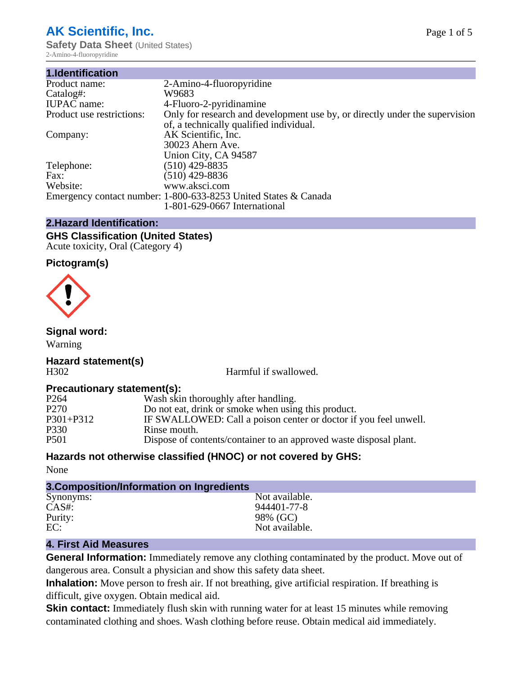# **AK Scientific, Inc.**

**Safety Data Sheet** (United States) 2-Amino-4-fluoropyridine

| 1.Identification          |                                                                                                                        |
|---------------------------|------------------------------------------------------------------------------------------------------------------------|
| Product name:             | 2-Amino-4-fluoropyridine                                                                                               |
| Catalog#:                 | W9683                                                                                                                  |
| <b>IUPAC</b> name:        | 4-Fluoro-2-pyridinamine                                                                                                |
| Product use restrictions: | Only for research and development use by, or directly under the supervision<br>of, a technically qualified individual. |
| Company:                  | AK Scientific, Inc.                                                                                                    |
|                           | 30023 Ahern Ave.                                                                                                       |
|                           | Union City, CA 94587                                                                                                   |
| Telephone:                | $(510)$ 429-8835                                                                                                       |
| Fax:                      | (510) 429-8836                                                                                                         |
| Website:                  | www.aksci.com                                                                                                          |
|                           | Emergency contact number: 1-800-633-8253 United States & Canada                                                        |
|                           | 1-801-629-0667 International                                                                                           |

### **2.Hazard Identification:**

#### **GHS Classification (United States)** Acute toxicity, Oral (Category 4)

### **Pictogram(s)**



# **Signal word:**

Warning

#### **Hazard statement(s)** H302 Harmful if swallowed.

# **Precautionary statement(s):**

| P <sub>264</sub> | Wash skin thoroughly after handling.                               |
|------------------|--------------------------------------------------------------------|
| P <sub>270</sub> | Do not eat, drink or smoke when using this product.                |
| P301+P312        | IF SWALLOWED: Call a poison center or doctor if you feel unwell.   |
| P330             | Rinse mouth.                                                       |
| P <sub>501</sub> | Dispose of contents/container to an approved waste disposal plant. |

# **Hazards not otherwise classified (HNOC) or not covered by GHS:**

None

| 3. Composition/Information on Ingredients |                |
|-------------------------------------------|----------------|
| Synonyms:                                 | Not available. |
| $CAS#$ :                                  | 944401-77-8    |
| Purity:                                   | 98% (GC)       |
| EC:                                       | Not available. |
|                                           |                |

# **4. First Aid Measures**

**General Information:** Immediately remove any clothing contaminated by the product. Move out of dangerous area. Consult a physician and show this safety data sheet.

**Inhalation:** Move person to fresh air. If not breathing, give artificial respiration. If breathing is difficult, give oxygen. Obtain medical aid.

**Skin contact:** Immediately flush skin with running water for at least 15 minutes while removing contaminated clothing and shoes. Wash clothing before reuse. Obtain medical aid immediately.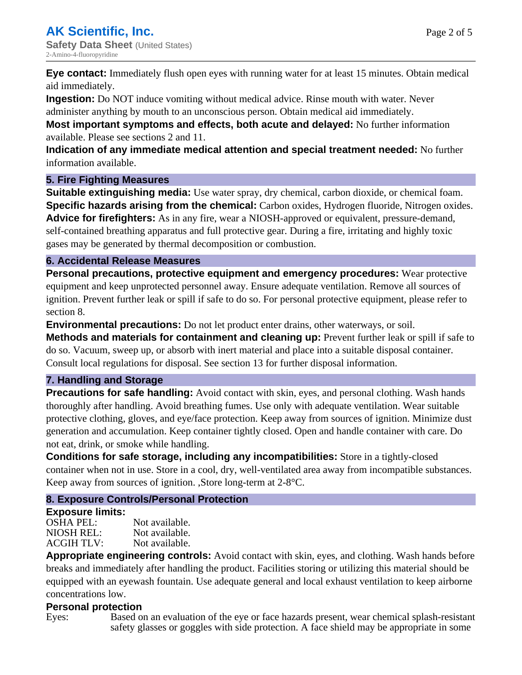Page 2 of 5

**Eye contact:** Immediately flush open eyes with running water for at least 15 minutes. Obtain medical aid immediately.

**Ingestion:** Do NOT induce vomiting without medical advice. Rinse mouth with water. Never administer anything by mouth to an unconscious person. Obtain medical aid immediately.

**Most important symptoms and effects, both acute and delayed:** No further information available. Please see sections 2 and 11.

**Indication of any immediate medical attention and special treatment needed:** No further information available.

# **5. Fire Fighting Measures**

**Suitable extinguishing media:** Use water spray, dry chemical, carbon dioxide, or chemical foam. **Specific hazards arising from the chemical:** Carbon oxides, Hydrogen fluoride, Nitrogen oxides. **Advice for firefighters:** As in any fire, wear a NIOSH-approved or equivalent, pressure-demand, self-contained breathing apparatus and full protective gear. During a fire, irritating and highly toxic gases may be generated by thermal decomposition or combustion.

### **6. Accidental Release Measures**

**Personal precautions, protective equipment and emergency procedures:** Wear protective equipment and keep unprotected personnel away. Ensure adequate ventilation. Remove all sources of ignition. Prevent further leak or spill if safe to do so. For personal protective equipment, please refer to section 8.

**Environmental precautions:** Do not let product enter drains, other waterways, or soil.

**Methods and materials for containment and cleaning up:** Prevent further leak or spill if safe to do so. Vacuum, sweep up, or absorb with inert material and place into a suitable disposal container. Consult local regulations for disposal. See section 13 for further disposal information.

#### **7. Handling and Storage**

**Precautions for safe handling:** Avoid contact with skin, eyes, and personal clothing. Wash hands thoroughly after handling. Avoid breathing fumes. Use only with adequate ventilation. Wear suitable protective clothing, gloves, and eye/face protection. Keep away from sources of ignition. Minimize dust generation and accumulation. Keep container tightly closed. Open and handle container with care. Do not eat, drink, or smoke while handling.

**Conditions for safe storage, including any incompatibilities:** Store in a tightly-closed container when not in use. Store in a cool, dry, well-ventilated area away from incompatible substances. Keep away from sources of ignition. ,Store long-term at 2-8°C.

# **8. Exposure Controls/Personal Protection**

#### **Exposure limits:**

OSHA PEL: Not available. NIOSH REL: Not available.<br>ACGIH TLV: Not available. ACGIH TLV:

**Appropriate engineering controls:** Avoid contact with skin, eyes, and clothing. Wash hands before breaks and immediately after handling the product. Facilities storing or utilizing this material should be equipped with an eyewash fountain. Use adequate general and local exhaust ventilation to keep airborne concentrations low.

# **Personal protection**

Eyes: Based on an evaluation of the eye or face hazards present, wear chemical splash-resistant safety glasses or goggles with side protection. A face shield may be appropriate in some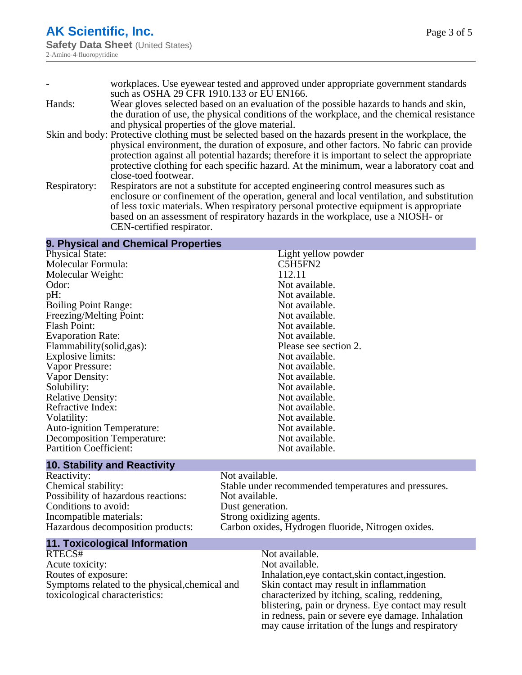|              | workplaces. Use eyewear tested and approved under appropriate government standards                     |
|--------------|--------------------------------------------------------------------------------------------------------|
|              | such as OSHA 29 CFR 1910.133 or EU EN166.                                                              |
| Hands:       | Wear gloves selected based on an evaluation of the possible hazards to hands and skin,                 |
|              | the duration of use, the physical conditions of the workplace, and the chemical resistance             |
|              | and physical properties of the glove material.                                                         |
|              | Skin and body: Protective clothing must be selected based on the hazards present in the workplace, the |
|              | physical environment, the duration of exposure, and other factors. No fabric can provide               |
|              | protection against all potential hazards; therefore it is important to select the appropriate          |
|              | protective clothing for each specific hazard. At the minimum, wear a laboratory coat and               |
|              | close-toed footwear.                                                                                   |
| Respiratory: | Respirators are not a substitute for accepted engineering control measures such as                     |
|              | enclosure or confinement of the operation, general and local ventilation, and substitution             |
|              | of less toxic materials. When respiratory personal protective equipment is appropriate                 |
|              | based on an assessment of respiratory hazards in the workplace, use a NIOSH- or                        |

CEN-certified respirator.

# **9. Physical and Chemical Properties**

| C5H5FN2<br>112.11<br>Not available. |
|-------------------------------------|
|                                     |
|                                     |
|                                     |
| Not available.                      |
| Not available.                      |
| Not available.                      |
| Not available.                      |
| Not available.                      |
| Please see section 2.               |
| Not available.                      |
| Not available.                      |
| Not available.                      |
| Not available.                      |
| Not available.                      |
| Not available.                      |
| Not available.                      |
| Not available.                      |
| Not available.                      |
| Not available.                      |
|                                     |

# **10. Stability and Reactivity**

Reactivity: Not available.<br>
Chemical stability: Stable under re Possibility of hazardous reactions: Not available.<br>Conditions to avoid: Dust generation. Conditions to avoid:<br>Incompatible materials: Incompatible materials: Strong oxidizing agents.<br>Hazardous decomposition products: Carbon oxides, Hydrogenes

Stable under recommended temperatures and pressures. Carbon oxides, Hydrogen fluoride, Nitrogen oxides.

# **11. Toxicological Information**

Acute toxicity: Routes of exposure: Inhalation,eye contact,skin contact,ingestion. Symptoms related to the physical,chemical and toxicological characteristics:

# Not available.<br>Not available.

Skin contact may result in inflammation characterized by itching, scaling, reddening, blistering, pain or dryness. Eye contact may result in redness, pain or severe eye damage. Inhalation may cause irritation of the lungs and respiratory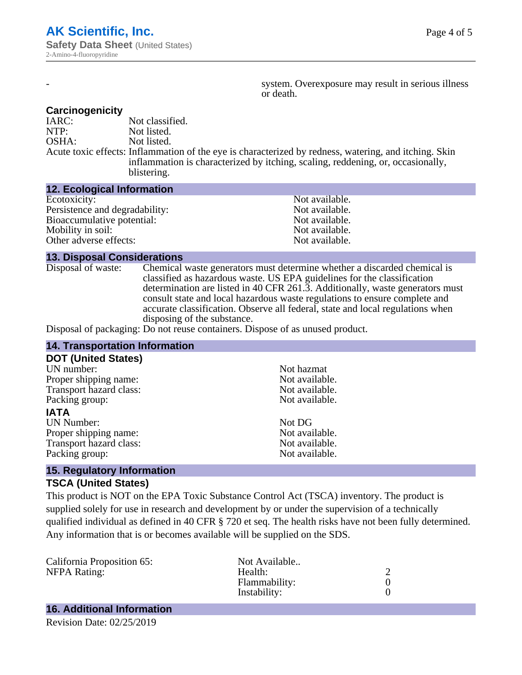system. Overexposure may result in serious illness or death.

#### **Carcinogenicity**

IARC: Not classified.<br>
NOTP: Not listed. Not listed. OSHA: Not listed. Acute toxic effects: Inflammation of the eye is characterized by redness, watering, and itching. Skin inflammation is characterized by itching, scaling, reddening, or, occasionally, blistering.

#### **12. Ecological Information**

| Not available. |
|----------------|
| Not available. |
| Not available. |
| Not available. |
| Not available. |
|                |

#### **13. Disposal Considerations**

Disposal of waste: Chemical waste generators must determine whether a discarded chemical is classified as hazardous waste. US EPA guidelines for the classification determination are listed in 40 CFR 261.3. Additionally, waste generators must consult state and local hazardous waste regulations to ensure complete and accurate classification. Observe all federal, state and local regulations when disposing of the substance.

Disposal of packaging: Do not reuse containers. Dispose of as unused product.

| <b>14. Transportation Information</b>                                         |                |  |
|-------------------------------------------------------------------------------|----------------|--|
| <b>DOT (United States)</b>                                                    |                |  |
| UN number:                                                                    | Not hazmat     |  |
| Proper shipping name:                                                         | Not available. |  |
| Transport hazard class:                                                       | Not available. |  |
| Packing group:                                                                | Not available. |  |
| <b>IATA</b>                                                                   |                |  |
| <b>UN Number:</b>                                                             | Not DG         |  |
| Proper shipping name:                                                         | Not available. |  |
| Transport hazard class:                                                       | Not available. |  |
| Packing group:                                                                | Not available. |  |
| $\overline{AB}$ . Described a normal $\overline{BA}$ a normal $\overline{AB}$ |                |  |

#### **15. Regulatory Information TSCA (United States)**

This product is NOT on the EPA Toxic Substance Control Act (TSCA) inventory. The product is supplied solely for use in research and development by or under the supervision of a technically qualified individual as defined in 40 CFR § 720 et seq. The health risks have not been fully determined. Any information that is or becomes available will be supplied on the SDS.

| California Proposition 65: | Not Available |  |
|----------------------------|---------------|--|
| <b>NFPA Rating:</b>        | Health:       |  |
|                            | Flammability: |  |
|                            | Instability:  |  |
|                            |               |  |

# **16. Additional Information**

Revision Date: 02/25/2019